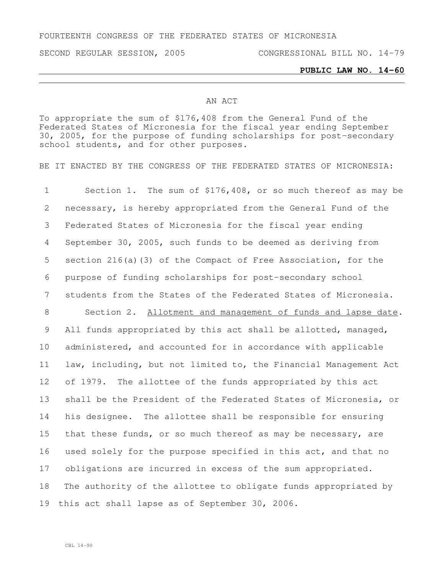FOURTEENTH CONGRESS OF THE FEDERATED STATES OF MICRONESIA

SECOND REGULAR SESSION, 2005 CONGRESSIONAL BILL NO. 14-79

## **PUBLIC LAW NO. 14-60**

## AN ACT

To appropriate the sum of \$176,408 from the General Fund of the Federated States of Micronesia for the fiscal year ending September 30, 2005, for the purpose of funding scholarships for post-secondary school students, and for other purposes.

BE IT ENACTED BY THE CONGRESS OF THE FEDERATED STATES OF MICRONESIA:

 Section 1. The sum of \$176,408, or so much thereof as may be necessary, is hereby appropriated from the General Fund of the Federated States of Micronesia for the fiscal year ending September 30, 2005, such funds to be deemed as deriving from section 216(a)(3) of the Compact of Free Association, for the purpose of funding scholarships for post-secondary school students from the States of the Federated States of Micronesia. Section 2. Allotment and management of funds and lapse date. All funds appropriated by this act shall be allotted, managed, administered, and accounted for in accordance with applicable law, including, but not limited to, the Financial Management Act of 1979. The allottee of the funds appropriated by this act shall be the President of the Federated States of Micronesia, or his designee. The allottee shall be responsible for ensuring that these funds, or so much thereof as may be necessary, are used solely for the purpose specified in this act, and that no obligations are incurred in excess of the sum appropriated. The authority of the allottee to obligate funds appropriated by this act shall lapse as of September 30, 2006.